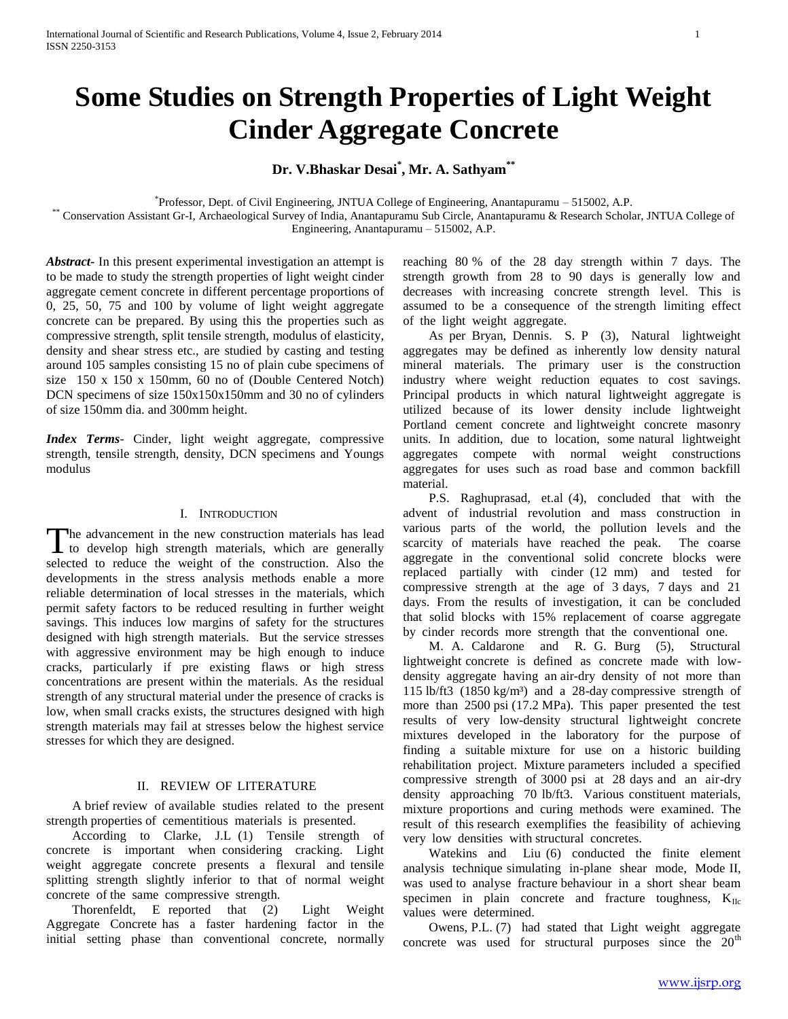# **Some Studies on Strength Properties of Light Weight Cinder Aggregate Concrete**

# **Dr. V.Bhaskar Desai\* , Mr. A. Sathyam\*\***

\* Professor, Dept. of Civil Engineering, JNTUA College of Engineering, Anantapuramu – 515002, A.P.

\*\* Conservation Assistant Gr-I, Archaeological Survey of India, Anantapuramu Sub Circle, Anantapuramu & Research Scholar, JNTUA College of Engineering, Anantapuramu – 515002, A.P.

*Abstract***-** In this present experimental investigation an attempt is to be made to study the strength properties of light weight cinder aggregate cement concrete in different percentage proportions of 0, 25, 50, 75 and 100 by volume of light weight aggregate concrete can be prepared. By using this the properties such as compressive strength, split tensile strength, modulus of elasticity, density and shear stress etc., are studied by casting and testing around 105 samples consisting 15 no of plain cube specimens of size 150 x 150 x 150mm, 60 no of (Double Centered Notch) DCN specimens of size 150x150x150mm and 30 no of cylinders of size 150mm dia. and 300mm height.

*Index Terms*- Cinder, light weight aggregate, compressive strength, tensile strength, density, DCN specimens and Youngs modulus

#### I. INTRODUCTION

he advancement in the new construction materials has lead The advancement in the new construction materials has lead<br>to develop high strength materials, which are generally selected to reduce the weight of the construction. Also the developments in the stress analysis methods enable a more reliable determination of local stresses in the materials, which permit safety factors to be reduced resulting in further weight savings. This induces low margins of safety for the structures designed with high strength materials. But the service stresses with aggressive environment may be high enough to induce cracks, particularly if pre existing flaws or high stress concentrations are present within the materials. As the residual strength of any structural material under the presence of cracks is low, when small cracks exists, the structures designed with high strength materials may fail at stresses below the highest service stresses for which they are designed.

#### II. REVIEW OF LITERATURE

 A brief review of available studies related to the present strength properties of cementitious materials is presented.

 According to Clarke, J.L (1) Tensile strength of concrete is important when considering cracking. Light weight aggregate concrete presents a flexural and tensile splitting strength slightly inferior to that of normal weight concrete of the same compressive strength.

 Thorenfeldt, E reported that (2) Light Weight Aggregate Concrete has a faster hardening factor in the initial setting phase than conventional concrete, normally

reaching 80 % of the 28 day strength within 7 days. The strength growth from 28 to 90 days is generally low and decreases with increasing concrete strength level. This is assumed to be a consequence of the strength limiting effect of the light weight aggregate.

 As per Bryan, Dennis. S. P (3), Natural lightweight aggregates may be defined as inherently low density natural mineral materials. The primary user is the construction industry where weight reduction equates to cost savings. Principal products in which natural lightweight aggregate is utilized because of its lower density include lightweight Portland cement concrete and lightweight concrete masonry units. In addition, due to location, some natural lightweight aggregates compete with normal weight constructions aggregates for uses such as road base and common backfill material.

 P.S. Raghuprasad, et.al (4), concluded that with the advent of industrial revolution and mass construction in various parts of the world, the pollution levels and the scarcity of materials have reached the peak. The coarse aggregate in the conventional solid concrete blocks were replaced partially with cinder (12 mm) and tested for compressive strength at the age of 3 days, 7 days and 21 days. From the results of investigation, it can be concluded that solid blocks with 15% replacement of coarse aggregate by cinder records more strength that the conventional one.

 M. A. Caldarone and R. G. Burg (5), Structural lightweight concrete is defined as concrete made with lowdensity aggregate having an air-dry density of not more than 115 lb/ft3  $(1850 \text{ kg/m}^3)$  and a 28-day compressive strength of more than 2500 psi (17.2 MPa). This paper presented the test results of very low-density structural lightweight concrete mixtures developed in the laboratory for the purpose of finding a suitable mixture for use on a historic building rehabilitation project. Mixture parameters included a specified compressive strength of 3000 psi at 28 days and an air-dry density approaching 70 lb/ft3. Various constituent materials, mixture proportions and curing methods were examined. The result of this research exemplifies the feasibility of achieving very low densities with structural concretes.

 Watekins and Liu (6) conducted the finite element analysis technique simulating in-plane shear mode, Mode II, was used to analyse fracture behaviour in a short shear beam specimen in plain concrete and fracture toughness,  $K_{\text{ILC}}$ values were determined.

 Owens, P.L. (7) had stated that Light weight aggregate concrete was used for structural purposes since the  $20<sup>th</sup>$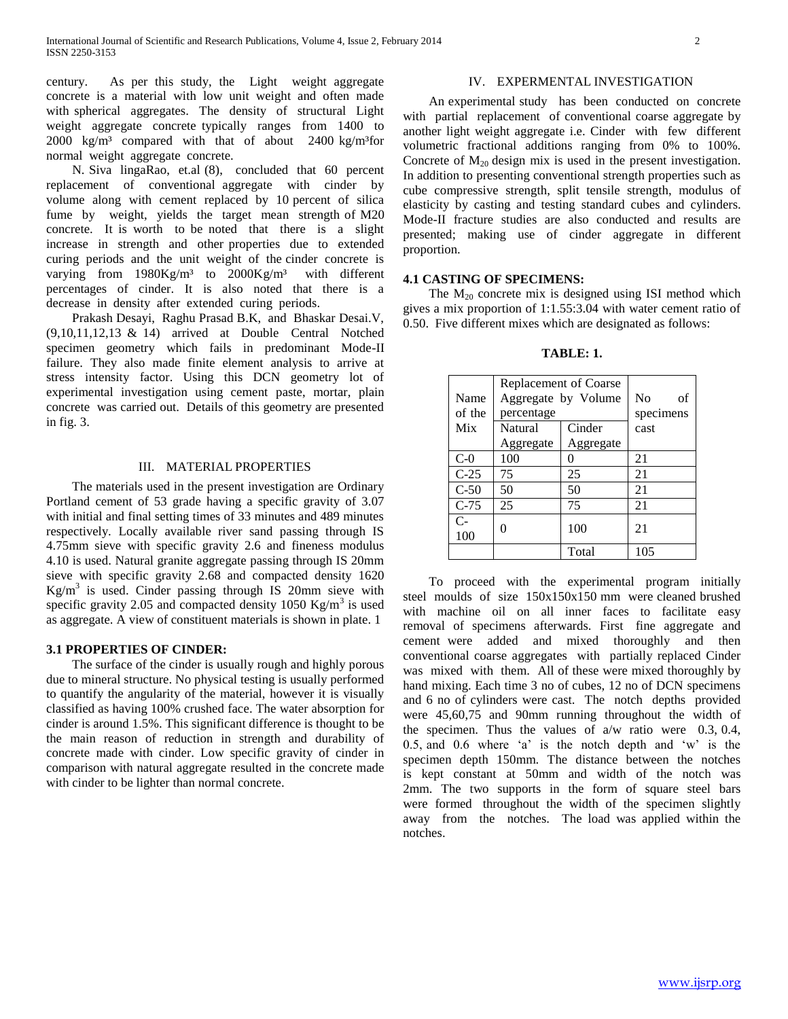century. As per this study, the Light weight aggregate concrete is a material with low unit weight and often made with spherical aggregates. The density of structural Light weight aggregate concrete typically ranges from 1400 to  $2000 \text{ kg/m}^3$  compared with that of about  $2400 \text{ kg/m}^3$  for normal weight aggregate concrete.

 N. Siva lingaRao, et.al (8), concluded that 60 percent replacement of conventional aggregate with cinder by volume along with cement replaced by 10 percent of silica fume by weight, yields the target mean strength of M20 concrete. It is worth to be noted that there is a slight increase in strength and other properties due to extended curing periods and the unit weight of the cinder concrete is varying from 1980Kg/m<sup>3</sup> to 2000Kg/m<sup>3</sup> with different percentages of cinder. It is also noted that there is a decrease in density after extended curing periods.

 Prakash Desayi, Raghu Prasad B.K, and Bhaskar Desai.V, (9,10,11,12,13 & 14) arrived at Double Central Notched specimen geometry which fails in predominant Mode-II failure. They also made finite element analysis to arrive at stress intensity factor. Using this DCN geometry lot of experimental investigation using cement paste, mortar, plain concrete was carried out. Details of this geometry are presented in fig. 3.

### III. MATERIAL PROPERTIES

 The materials used in the present investigation are Ordinary Portland cement of 53 grade having a specific gravity of 3.07 with initial and final setting times of 33 minutes and 489 minutes respectively. Locally available river sand passing through IS 4.75mm sieve with specific gravity 2.6 and fineness modulus 4.10 is used. Natural granite aggregate passing through IS 20mm sieve with specific gravity 2.68 and compacted density 1620  $Kg/m<sup>3</sup>$  is used. Cinder passing through IS 20mm sieve with specific gravity 2.05 and compacted density 1050  $\text{Kg/m}^3$  is used as aggregate. A view of constituent materials is shown in plate. 1

#### **3.1 PROPERTIES OF CINDER:**

 The surface of the cinder is usually rough and highly porous due to mineral structure. No physical testing is usually performed to quantify the angularity of the material, however it is visually classified as having 100% crushed face. The water absorption for cinder is around 1.5%. This significant difference is thought to be the main reason of reduction in strength and durability of concrete made with cinder. Low specific gravity of cinder in comparison with natural aggregate resulted in the concrete made with cinder to be lighter than normal concrete.

#### IV. EXPERMENTAL INVESTIGATION

 An experimental study has been conducted on concrete with partial replacement of conventional coarse aggregate by another light weight aggregate i.e. Cinder with few different volumetric fractional additions ranging from 0% to 100%. Concrete of  $M_{20}$  design mix is used in the present investigation. In addition to presenting conventional strength properties such as cube compressive strength, split tensile strength, modulus of elasticity by casting and testing standard cubes and cylinders. Mode-II fracture studies are also conducted and results are presented; making use of cinder aggregate in different proportion.

#### **4.1 CASTING OF SPECIMENS:**

The  $M_{20}$  concrete mix is designed using ISI method which gives a mix proportion of 1:1.55:3.04 with water cement ratio of 0.50. Five different mixes which are designated as follows:

| Name<br>of the | Replacement of Coarse<br>Aggregate by Volume<br>percentage | No<br>of<br>specimens |     |
|----------------|------------------------------------------------------------|-----------------------|-----|
| Mix            | Natural                                                    | cast                  |     |
|                | Aggregate<br>Aggregate                                     |                       |     |
| $C-0$          | 100                                                        |                       | 21  |
| $C-25$         | 75                                                         | 25                    | 21  |
| $C-50$         | 50                                                         | 50                    | 21  |
| $C-75$         | 25                                                         | 75                    | 21  |
| $C-$<br>100    | 0                                                          | 100                   | 21  |
|                |                                                            | Total                 | 105 |

**TABLE: 1.**

 To proceed with the experimental program initially steel moulds of size 150x150x150 mm were cleaned brushed with machine oil on all inner faces to facilitate easy removal of specimens afterwards. First fine aggregate and cement were added and mixed thoroughly and then conventional coarse aggregates with partially replaced Cinder was mixed with them. All of these were mixed thoroughly by hand mixing. Each time 3 no of cubes, 12 no of DCN specimens and 6 no of cylinders were cast. The notch depths provided were 45,60,75 and 90mm running throughout the width of the specimen. Thus the values of a/w ratio were 0.3, 0.4, 0.5, and 0.6 where 'a' is the notch depth and 'w' is the specimen depth 150mm. The distance between the notches is kept constant at 50mm and width of the notch was 2mm. The two supports in the form of square steel bars were formed throughout the width of the specimen slightly away from the notches. The load was applied within the notches.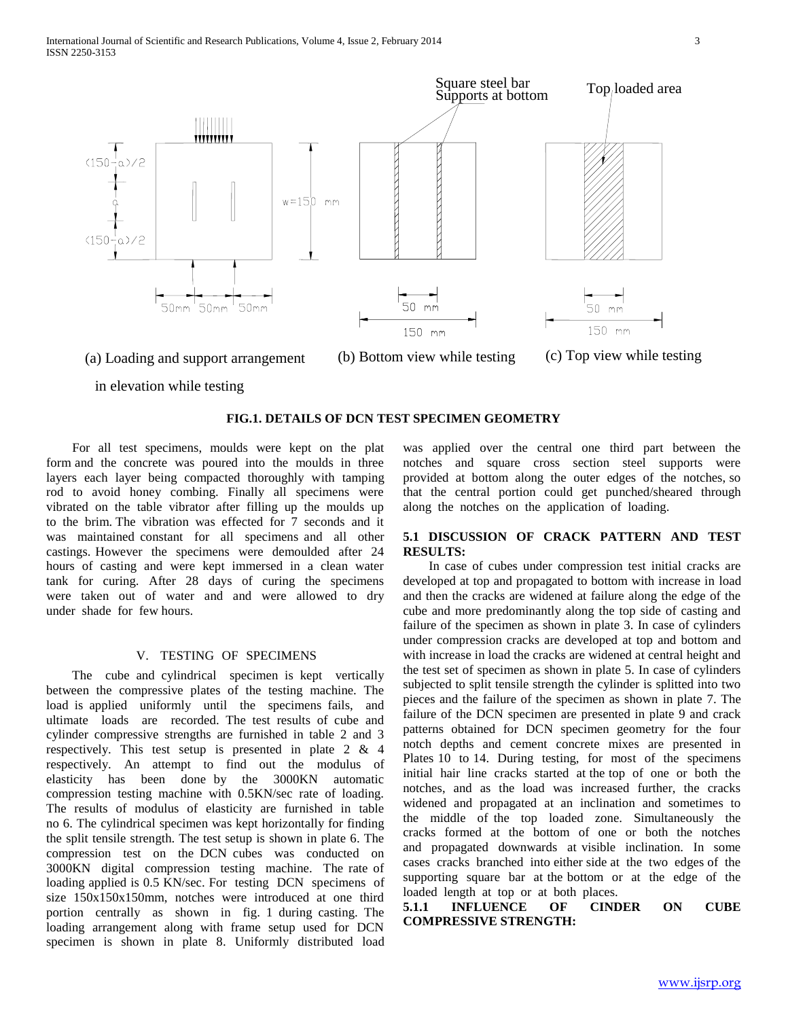

(a) Loading and support arrangement

(b) Bottom view while testing (c) Top view while testing

in elevation while testing

## **FIG.1. DETAILS OF DCN TEST SPECIMEN GEOMETRY**

 For all test specimens, moulds were kept on the plat form and the concrete was poured into the moulds in three layers each layer being compacted thoroughly with tamping rod to avoid honey combing. Finally all specimens were vibrated on the table vibrator after filling up the moulds up to the brim. The vibration was effected for 7 seconds and it was maintained constant for all specimens and all other castings. However the specimens were demoulded after 24 hours of casting and were kept immersed in a clean water tank for curing. After 28 days of curing the specimens were taken out of water and and were allowed to dry under shade for few hours.

#### V. TESTING OF SPECIMENS

 The cube and cylindrical specimen is kept vertically between the compressive plates of the testing machine. The load is applied uniformly until the specimens fails, and ultimate loads are recorded. The test results of cube and cylinder compressive strengths are furnished in table 2 and 3 respectively. This test setup is presented in plate 2 & 4 respectively. An attempt to find out the modulus of elasticity has been done by the 3000KN automatic compression testing machine with 0.5KN/sec rate of loading. The results of modulus of elasticity are furnished in table no 6. The cylindrical specimen was kept horizontally for finding the split tensile strength. The test setup is shown in plate 6. The compression test on the DCN cubes was conducted on 3000KN digital compression testing machine. The rate of loading applied is 0.5 KN/sec. For testing DCN specimens of size 150x150x150mm, notches were introduced at one third portion centrally as shown in fig. 1 during casting. The loading arrangement along with frame setup used for DCN specimen is shown in plate 8. Uniformly distributed load

was applied over the central one third part between the notches and square cross section steel supports were provided at bottom along the outer edges of the notches, so that the central portion could get punched/sheared through along the notches on the application of loading.

#### **5.1 DISCUSSION OF CRACK PATTERN AND TEST RESULTS:**

 In case of cubes under compression test initial cracks are developed at top and propagated to bottom with increase in load and then the cracks are widened at failure along the edge of the cube and more predominantly along the top side of casting and failure of the specimen as shown in plate 3. In case of cylinders under compression cracks are developed at top and bottom and with increase in load the cracks are widened at central height and the test set of specimen as shown in plate 5. In case of cylinders subjected to split tensile strength the cylinder is splitted into two pieces and the failure of the specimen as shown in plate 7. The failure of the DCN specimen are presented in plate 9 and crack patterns obtained for DCN specimen geometry for the four notch depths and cement concrete mixes are presented in Plates 10 to 14. During testing, for most of the specimens initial hair line cracks started at the top of one or both the notches, and as the load was increased further, the cracks widened and propagated at an inclination and sometimes to the middle of the top loaded zone. Simultaneously the cracks formed at the bottom of one or both the notches and propagated downwards at visible inclination. In some cases cracks branched into either side at the two edges of the supporting square bar at the bottom or at the edge of the loaded length at top or at both places.

**5.1.1 INFLUENCE OF CINDER ON CUBE COMPRESSIVE STRENGTH:**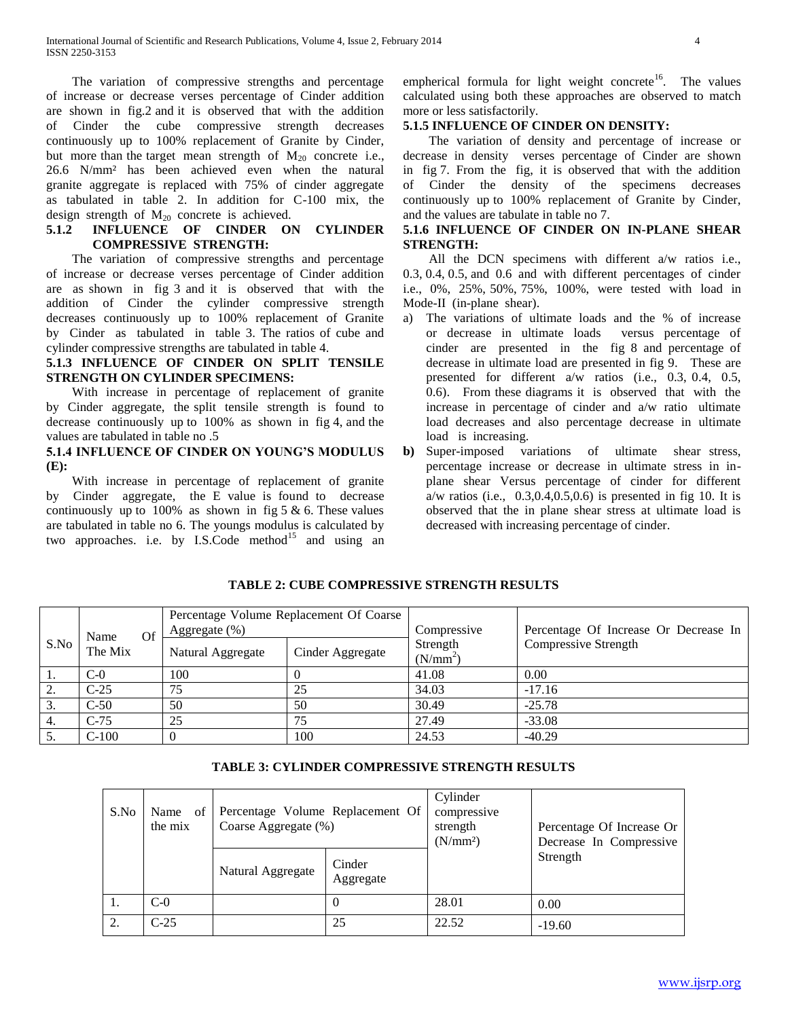The variation of compressive strengths and percentage of increase or decrease verses percentage of Cinder addition are shown in fig.2 and it is observed that with the addition of Cinder the cube compressive strength decreases continuously up to 100% replacement of Granite by Cinder, but more than the target mean strength of  $M_{20}$  concrete i.e., 26.6 N/mm² has been achieved even when the natural granite aggregate is replaced with 75% of cinder aggregate as tabulated in table 2. In addition for C-100 mix, the design strength of  $M_{20}$  concrete is achieved.<br>5.1.2 INFLUENCE OF CINDER OF

## **5.1.2 INFLUENCE OF CINDER ON CYLINDER COMPRESSIVE STRENGTH:**

 The variation of compressive strengths and percentage of increase or decrease verses percentage of Cinder addition are as shown in fig 3 and it is observed that with the addition of Cinder the cylinder compressive strength decreases continuously up to 100% replacement of Granite by Cinder as tabulated in table 3. The ratios of cube and cylinder compressive strengths are tabulated in table 4.

#### **5.1.3 INFLUENCE OF CINDER ON SPLIT TENSILE STRENGTH ON CYLINDER SPECIMENS:**

 With increase in percentage of replacement of granite by Cinder aggregate, the split tensile strength is found to decrease continuously up to 100% as shown in fig 4, and the values are tabulated in table no .5

## **5.1.4 INFLUENCE OF CINDER ON YOUNG'S MODULUS (E):**

 With increase in percentage of replacement of granite by Cinder aggregate, the E value is found to decrease continuously up to 100% as shown in fig  $5 \& 6$ . These values are tabulated in table no 6. The youngs modulus is calculated by two approaches. i.e. by I.S.Code method<sup>15</sup> and using an empherical formula for light weight concrete<sup>16</sup>. The values calculated using both these approaches are observed to match more or less satisfactorily.

#### **5.1.5 INFLUENCE OF CINDER ON DENSITY:**

 The variation of density and percentage of increase or decrease in density verses percentage of Cinder are shown in fig 7. From the fig, it is observed that with the addition of Cinder the density of the specimens decreases continuously up to 100% replacement of Granite by Cinder, and the values are tabulate in table no 7.

## **5.1.6 INFLUENCE OF CINDER ON IN-PLANE SHEAR STRENGTH:**

 All the DCN specimens with different a/w ratios i.e., 0.3, 0.4, 0.5, and 0.6 and with different percentages of cinder i.e., 0%, 25%, 50%, 75%, 100%, were tested with load in Mode-II (in-plane shear).

- a) The variations of ultimate loads and the % of increase or decrease in ultimate loads versus percentage of cinder are presented in the fig 8 and percentage of decrease in ultimate load are presented in fig 9. These are presented for different a/w ratios (i.e., 0.3, 0.4, 0.5, 0.6). From these diagrams it is observed that with the increase in percentage of cinder and a/w ratio ultimate load decreases and also percentage decrease in ultimate load is increasing.
- **b)** Super-imposed variations of ultimate shear stress, percentage increase or decrease in ultimate stress in inplane shear Versus percentage of cinder for different a/w ratios (i.e., 0.3,0.4,0.5,0.6) is presented in fig 10. It is observed that the in plane shear stress at ultimate load is decreased with increasing percentage of cinder.

| S.No | Of<br>Name | Aggregate $(\%)$  | Percentage Volume Replacement Of Coarse | Compressive            | Percentage Of Increase Or Decrease In |  |
|------|------------|-------------------|-----------------------------------------|------------------------|---------------------------------------|--|
|      | The Mix    | Natural Aggregate | Cinder Aggregate                        | Strength<br>$(N/mm^2)$ | Compressive Strength                  |  |
| 1.   | $C-0$      | 100               |                                         | 41.08                  | 0.00                                  |  |
| 2.   | $C-25$     | 75                | 25                                      | 34.03                  | $-17.16$                              |  |
| 3.   | $C-50$     | 50                | 50                                      | 30.49                  | $-25.78$                              |  |
| 4.   | $C-75$     | 25                | 75                                      | 27.49                  | $-33.08$                              |  |
|      | $C-100$    |                   | 100                                     | 24.53                  | $-40.29$                              |  |

## **TABLE 2: CUBE COMPRESSIVE STRENGTH RESULTS**

|  |  | <b>TABLE 3: CYLINDER COMPRESSIVE STRENGTH RESULTS</b> |
|--|--|-------------------------------------------------------|
|--|--|-------------------------------------------------------|

| S.No | of<br>Name<br>the mix | Percentage Volume Replacement Of<br>Coarse Aggregate (%) |                     | Cylinder<br>compressive<br>strength<br>(N/mm <sup>2</sup> ) | Percentage Of Increase Or<br>Decrease In Compressive |
|------|-----------------------|----------------------------------------------------------|---------------------|-------------------------------------------------------------|------------------------------------------------------|
|      |                       | Natural Aggregate                                        | Cinder<br>Aggregate |                                                             | Strength                                             |
| 1.   | $C-0$                 |                                                          |                     | 28.01                                                       | 0.00                                                 |
| 2.   | $C-25$                |                                                          | 25                  | 22.52                                                       | $-19.60$                                             |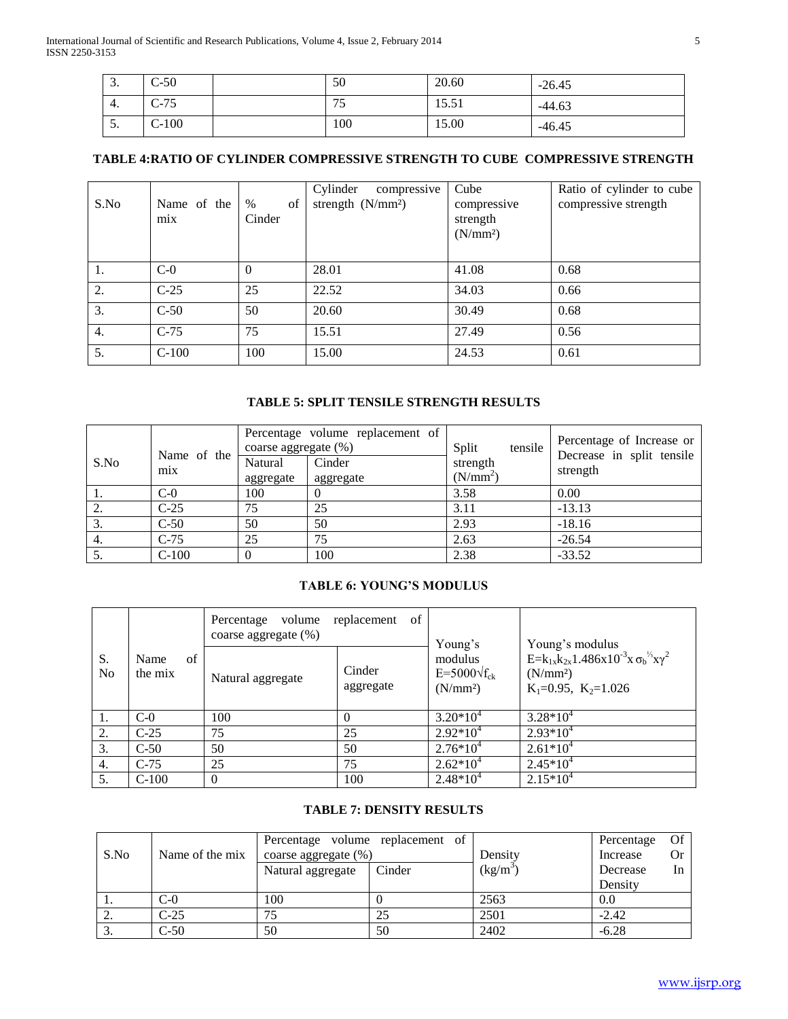| $\sim$<br>. ب | $C-50$                | 50        | 20.60 | $-26.45$ |
|---------------|-----------------------|-----------|-------|----------|
| 4.            | $C-75$                | 75<br>ر ر | 15.51 | $-44.63$ |
| . ب           | $C-100$<br>$\sqrt{ }$ | 100       | 15.00 | $-46.45$ |

## **TABLE 4:RATIO OF CYLINDER COMPRESSIVE STRENGTH TO CUBE COMPRESSIVE STRENGTH**

| S.No | Name of the<br>mix | of<br>$\%$<br>Cinder | Cylinder<br>compressive<br>strength $(N/mm2)$ | Cube<br>compressive<br>strength<br>(N/mm <sup>2</sup> ) | Ratio of cylinder to cube<br>compressive strength |
|------|--------------------|----------------------|-----------------------------------------------|---------------------------------------------------------|---------------------------------------------------|
|      | $C-0$              | $\theta$             | 28.01                                         | 41.08                                                   | 0.68                                              |
| 2.   | $C-25$             | 25                   | 22.52                                         | 34.03                                                   | 0.66                                              |
| 3.   | $C-50$             | 50                   | 20.60                                         | 30.49                                                   | 0.68                                              |
| 4.   | $C-75$             | 75                   | 15.51                                         | 27.49                                                   | 0.56                                              |
| 5.   | $C-100$            | 100                  | 15.00                                         | 24.53                                                   | 0.61                                              |

## **TABLE 5: SPLIT TENSILE STRENGTH RESULTS**

|      |                    | Percentage volume replacement of<br>coarse aggregate (%) | Split     | tensile                          | Percentage of Increase or |                                       |
|------|--------------------|----------------------------------------------------------|-----------|----------------------------------|---------------------------|---------------------------------------|
| S.No | Name of the<br>mix | Natural                                                  | Cinder    | strength<br>(N/mm <sup>2</sup> ) |                           | Decrease in split tensile<br>strength |
|      |                    | aggregate                                                | aggregate |                                  |                           |                                       |
|      | $C-0$              | 100                                                      |           | 3.58                             |                           | 0.00                                  |
|      | $C-25$             | 75                                                       | 25        | 3.11                             |                           | $-13.13$                              |
|      | $C-50$             | 50                                                       | 50        | 2.93                             |                           | $-18.16$                              |
| 4.   | $C-75$             | 25                                                       | 75        | 2.63                             |                           | $-26.54$                              |
|      | $C-100$            |                                                          | 100       | 2.38                             |                           | $-33.52$                              |

## **TABLE 6: YOUNG'S MODULUS**

|                      |                       | volume<br>Percentage<br>coarse aggregate (%) | of<br>replacement   | Young's                                                     | Young's modulus<br>$E=k_{1x}k_{2x}1.486x10^{-3}x\sigma_{b}^{1/3}x\gamma^{2}$<br>(N/mm <sup>2</sup> )<br>$K_1=0.95$ , $K_2=1.026$ |  |
|----------------------|-----------------------|----------------------------------------------|---------------------|-------------------------------------------------------------|----------------------------------------------------------------------------------------------------------------------------------|--|
| S.<br>N <sub>0</sub> | of<br>Name<br>the mix | Natural aggregate                            | Cinder<br>aggregate | modulus<br>$E = 5000 \sqrt{f_{ck}}$<br>(N/mm <sup>2</sup> ) |                                                                                                                                  |  |
| 1.                   | $C-0$                 | 100                                          | $\theta$            | $3.20*10^{4}$                                               | $3.28*10^{4}$                                                                                                                    |  |
| 2.                   | $C-25$                | 75                                           | 25                  | $2.92*10^{4}$                                               | $2.93*10^{4}$                                                                                                                    |  |
| 3.                   | $C-50$                | 50                                           | 50                  | $2.76*10^{4}$                                               | $2.61*10^{4}$                                                                                                                    |  |
| 4.                   | $C-75$                | 25                                           | 75                  | $2.62*10^{4}$                                               | $2.45*10^{4}$                                                                                                                    |  |
| 5.                   | $C-100$               | $\Omega$                                     | 100                 | $2.48*10^{4}$                                               | $2.15*10^{4}$                                                                                                                    |  |

## **TABLE 7: DENSITY RESULTS**

|      |                 | Percentage volume replacement of |        |                             | Percentage | Of |
|------|-----------------|----------------------------------|--------|-----------------------------|------------|----|
| S.No | Name of the mix | coarse aggregate (%)             |        | Densitv                     | Increase   | Or |
|      |                 | Natural aggregate                | Cinder | $\left({\rm kg/m}^3\right)$ | Decrease   | In |
|      |                 |                                  |        |                             | Density    |    |
|      | $C-0$           | 100                              |        | 2563                        | 0.0        |    |
| ۷.   | $C-25$          | 75                               | 25     | 2501                        | $-2.42$    |    |
|      | $C-50$          | 50                               | 50     | 2402                        | $-6.28$    |    |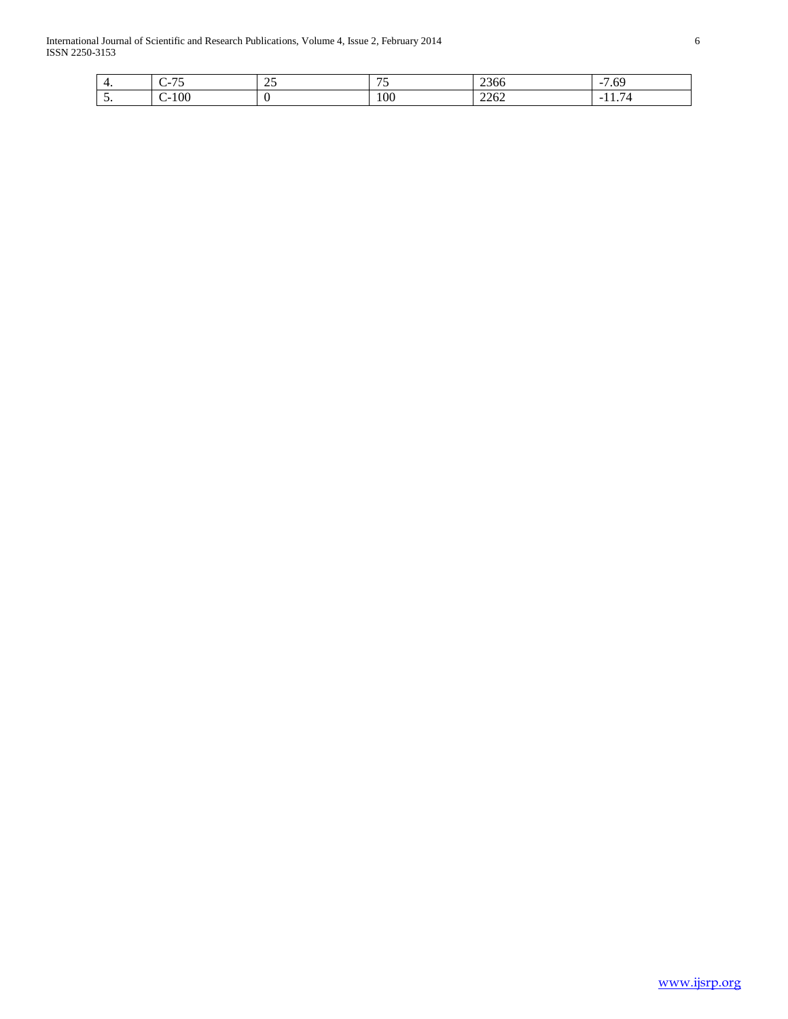|          | $\overline{\phantom{a}}$<br>$\sim$ | $\sim$ $\sim$<br>رے | $\sim$ $\sim$ | $\sim$<br>2300      | -<br>$\epsilon$<br>nч<br>$\sim$ 1<br>$\cdot$ . |
|----------|------------------------------------|---------------------|---------------|---------------------|------------------------------------------------|
| <u>.</u> | 100<br>- -                         |                     | 100           | 220<br><i>LL</i> UL | .                                              |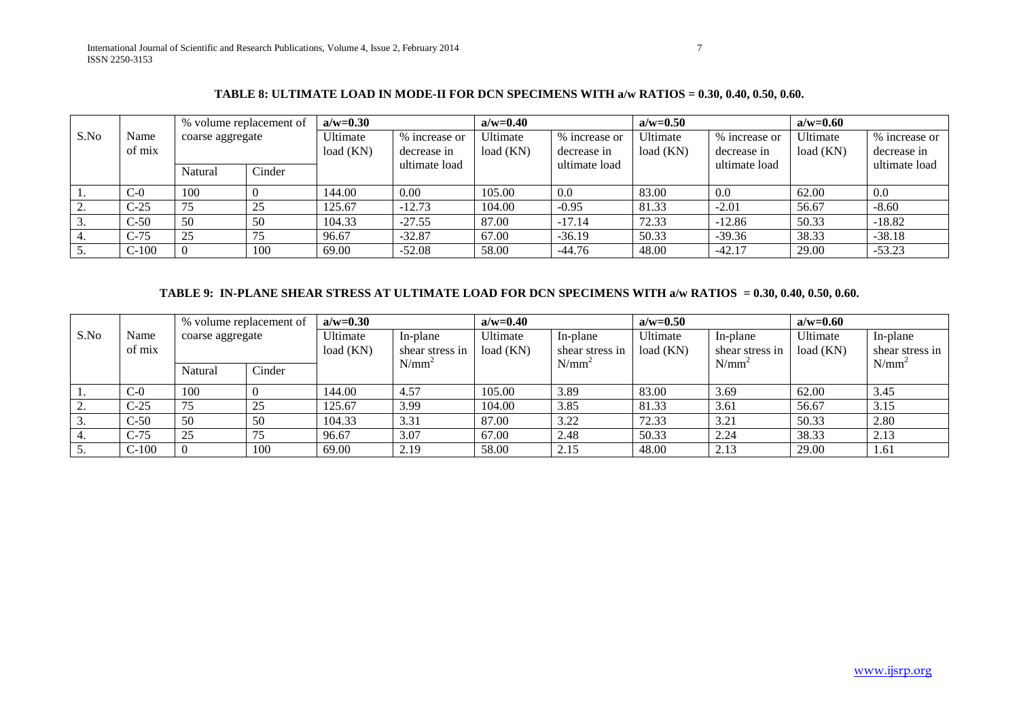## **TABLE 8: ULTIMATE LOAD IN MODE-II FOR DCN SPECIMENS WITH a/w RATIOS = 0.30, 0.40, 0.50, 0.60.**

|      |         | % volume replacement of |        | $a/w=0.30$ |               | $a/w=0.40$ |               | $a/w=0.50$ |               | $a/w=0.60$ |               |
|------|---------|-------------------------|--------|------------|---------------|------------|---------------|------------|---------------|------------|---------------|
| S.No | Name    | coarse aggregate        |        | Ultimate   | % increase or | Ultimate   | % increase or | Ultimate   | % increase or | Ultimate   | % increase or |
|      | of mix  |                         |        | load (KN)  | decrease in   | load (KN)  | decrease in   | load (KN)  | decrease in   | load (KN)  | decrease in   |
|      |         |                         |        |            | ultimate load |            | ultimate load |            | ultimate load |            | ultimate load |
|      |         | Natural                 | Cinder |            |               |            |               |            |               |            |               |
|      | $C-0$   | 100                     |        | 144.00     | 0.00          | 105.00     | 0.0           | 83.00      | 0.0           | 62.00      | 0.0           |
|      | $C-25$  | 75                      | 25     | 125.67     | $-12.73$      | 104.00     | $-0.95$       | 81.33      | $-2.01$       | 56.67      | $-8.60$       |
|      | $C-50$  | 50                      | 50     | 104.33     | $-27.55$      | 87.00      | $-17.14$      | 72.33      | $-12.86$      | 50.33      | $-18.82$      |
|      | $C-75$  | 25                      | 75     | 96.67      | $-32.87$      | 67.00      | $-36.19$      | 50.33      | $-39.36$      | 38.33      | $-38.18$      |
|      | $C-100$ |                         | 100    | 69.00      | $-52.08$      | 58.00      | $-44.76$      | 48.00      | $-42.17$      | 29.00      | $-53.23$      |

## **TABLE 9: IN-PLANE SHEAR STRESS AT ULTIMATE LOAD FOR DCN SPECIMENS WITH a/w RATIOS = 0.30, 0.40, 0.50, 0.60.**

|      |         | % volume replacement of |        | $a/w=0.30$ |                 | $a/w=0.40$ |                   | $a/w=0.50$ |                 | $a/w=0.60$ |                 |
|------|---------|-------------------------|--------|------------|-----------------|------------|-------------------|------------|-----------------|------------|-----------------|
| S.No | Name    | coarse aggregate        |        | Ultimate   | In-plane        | Ultimate   | In-plane          | Ultimate   | In-plane        | Ultimate   | In-plane        |
|      | of mix  |                         |        | load (KN)  | shear stress in | load (KN)  | shear stress in   | load (KN)  | shear stress in | load(KN)   | shear stress in |
|      |         |                         |        |            | $N/mm^2$        |            | N/mm <sup>2</sup> |            | $N/mm^2$        |            | $N/mm^2$        |
|      |         | Natural                 | Cinder |            |                 |            |                   |            |                 |            |                 |
|      | $C-0$   | 100                     |        | 144.00     | 4.57            | 105.00     | 3.89              | 83.00      | 3.69            | 62.00      | 3.45            |
|      | $C-25$  | 75                      | 25     | 125.67     | 3.99            | 104.00     | 3.85              | 81.33      | 3.61            | 56.67      | 3.15            |
|      | $C-50$  | 50                      | 50     | 104.33     | 3.31            | 87.00      | 3.22              | 72.33      | 3.21            | 50.33      | 2.80            |
|      | $C-75$  | 25                      | 75     | 96.67      | 3.07            | 67.00      | 2.48              | 50.33      | 2.24            | 38.33      | 2.13            |
|      | $C-100$ |                         | 100    | 69.00      | 2.19            | 58.00      | 2.15              | 48.00      | 2.13            | 29.00      | 1.61            |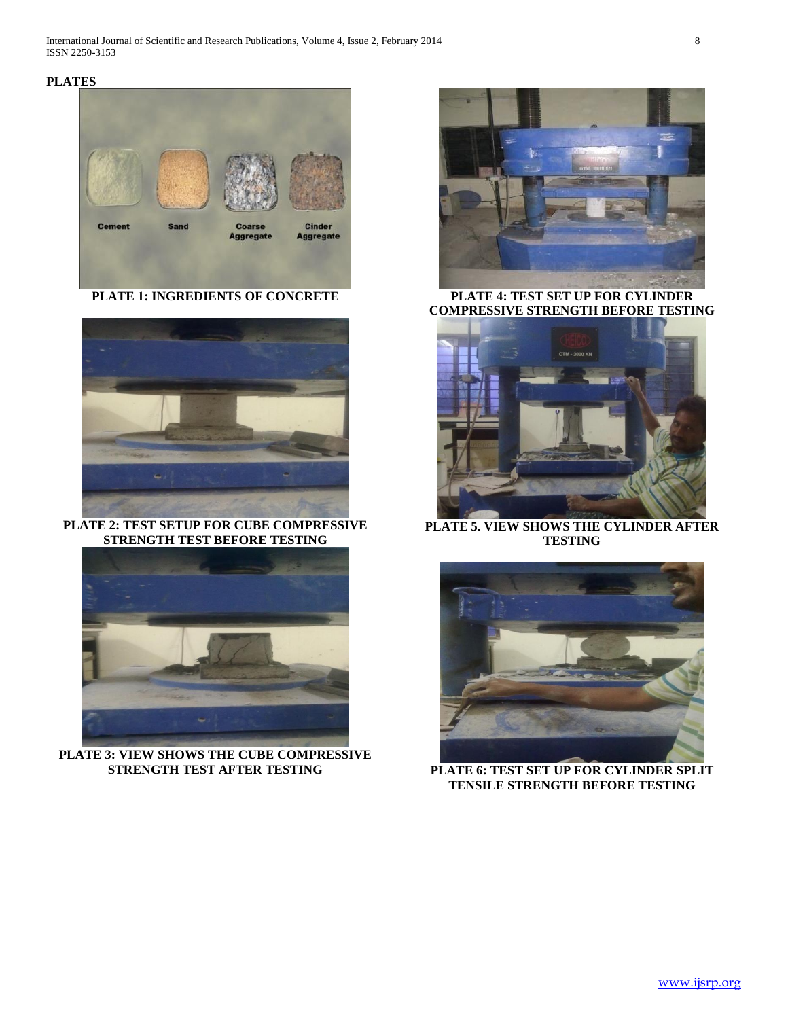International Journal of Scientific and Research Publications, Volume 4, Issue 2, February 2014 8 ISSN 2250-3153

#### **PLATES**



**PLATE 1: INGREDIENTS OF CONCRETE**



**PLATE 2: TEST SETUP FOR CUBE COMPRESSIVE STRENGTH TEST BEFORE TESTING**



**PLATE 3: VIEW SHOWS THE CUBE COMPRESSIVE STRENGTH TEST AFTER TESTING**



**PLATE 4: TEST SET UP FOR CYLINDER COMPRESSIVE STRENGTH BEFORE TESTING**



**PLATE 5. VIEW SHOWS THE CYLINDER AFTER TESTING**



**PLATE 6: TEST SET UP FOR CYLINDER SPLIT TENSILE STRENGTH BEFORE TESTING**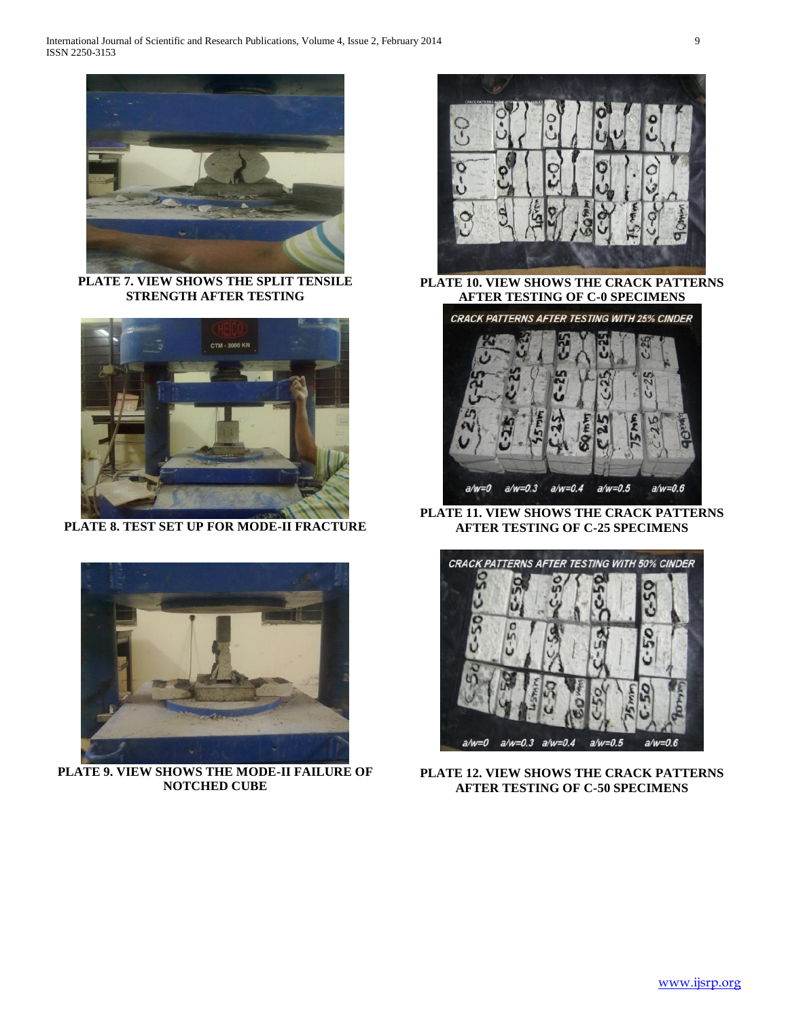

**PLATE 7. VIEW SHOWS THE SPLIT TENSILE STRENGTH AFTER TESTING**



**PLATE 8. TEST SET UP FOR MODE-II FRACTURE**



**PLATE 9. VIEW SHOWS THE MODE-II FAILURE OF NOTCHED CUBE**



**PLATE 10. VIEW SHOWS THE CRACK PATTERNS AFTER TESTING OF C-0 SPECIMENS**



**PLATE 11. VIEW SHOWS THE CRACK PATTERNS AFTER TESTING OF C-25 SPECIMENS**



**PLATE 12. VIEW SHOWS THE CRACK PATTERNS AFTER TESTING OF C-50 SPECIMENS**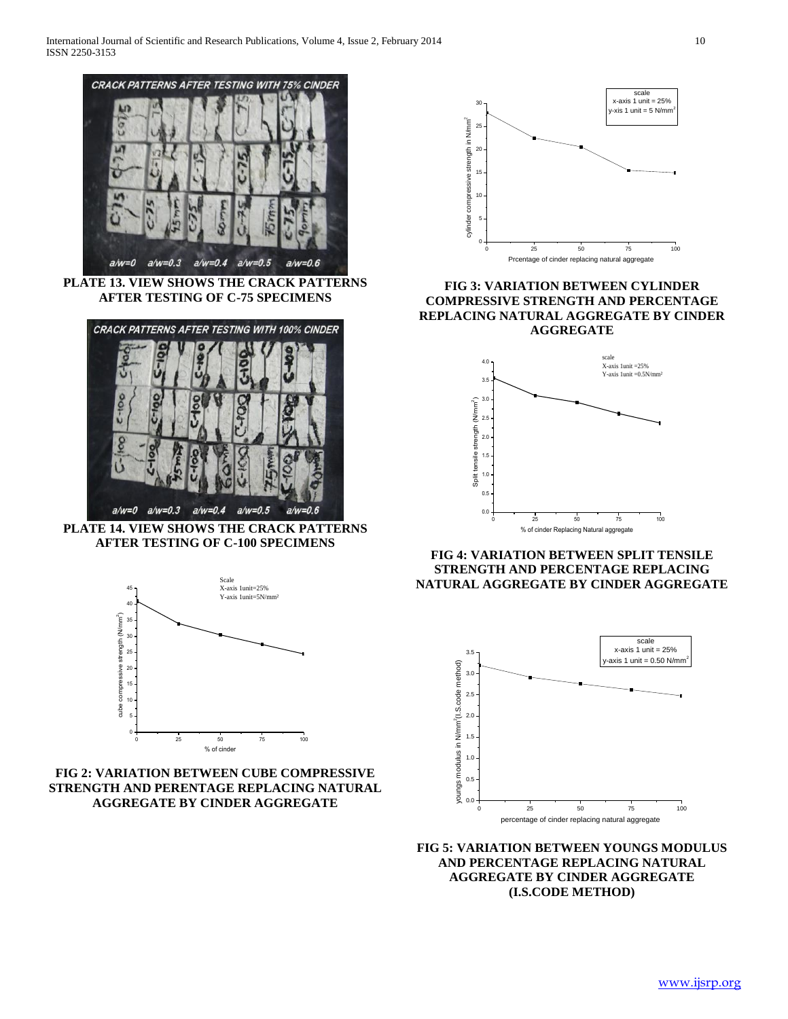

**PLATE 13. VIEW SHOWS THE CRACK PATTERNS AFTER TESTING OF C-75 SPECIMENS**



**PLATE 14. VIEW SHOWS THE CRACK PATTERNS AFTER TESTING OF C-100 SPECIMENS**



**FIG 2: VARIATION BETWEEN CUBE COMPRESSIVE STRENGTH AND PERENTAGE REPLACING NATURAL AGGREGATE BY CINDER AGGREGATE**



## **FIG 3: VARIATION BETWEEN CYLINDER COMPRESSIVE STRENGTH AND PERCENTAGE REPLACING NATURAL AGGREGATE BY CINDER AGGREGATE**



**FIG 4: VARIATION BETWEEN SPLIT TENSILE STRENGTH AND PERCENTAGE REPLACING NATURAL AGGREGATE BY CINDER AGGREGATE**



**FIG 5: VARIATION BETWEEN YOUNGS MODULUS AND PERCENTAGE REPLACING NATURAL AGGREGATE BY CINDER AGGREGATE (I.S.CODE METHOD)**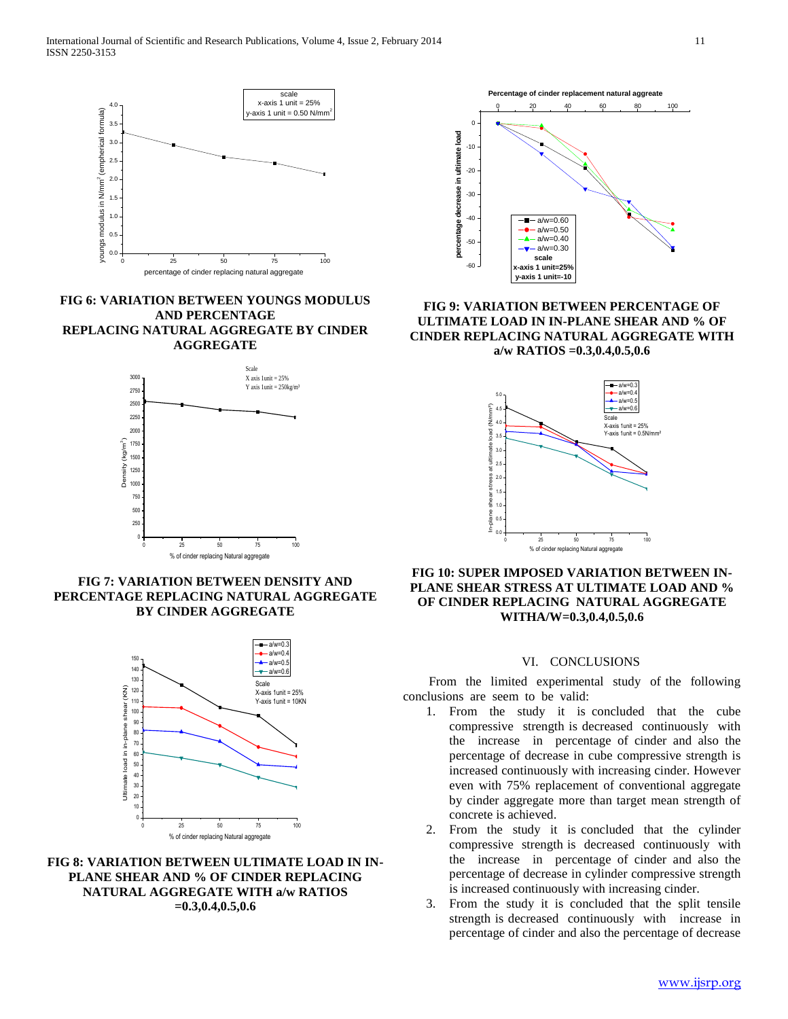

#### **FIG 6: VARIATION BETWEEN YOUNGS MODULUS AND PERCENTAGE REPLACING NATURAL AGGREGATE BY CINDER AGGREGATE**



**FIG 7: VARIATION BETWEEN DENSITY AND PERCENTAGE REPLACING NATURAL AGGREGATE BY CINDER AGGREGATE**



**FIG 8: VARIATION BETWEEN ULTIMATE LOAD IN IN-PLANE SHEAR AND % OF CINDER REPLACING NATURAL AGGREGATE WITH a/w RATIOS =0.3,0.4,0.5,0.6**



## **FIG 9: VARIATION BETWEEN PERCENTAGE OF ULTIMATE LOAD IN IN-PLANE SHEAR AND % OF CINDER REPLACING NATURAL AGGREGATE WITH a/w RATIOS =0.3,0.4,0.5,0.6**



## **FIG 10: SUPER IMPOSED VARIATION BETWEEN IN-PLANE SHEAR STRESS AT ULTIMATE LOAD AND % OF CINDER REPLACING NATURAL AGGREGATE WITHA/W=0.3,0.4,0.5,0.6**

#### VI. CONCLUSIONS

 From the limited experimental study of the following conclusions are seem to be valid:

- 1. From the study it is concluded that the cube compressive strength is decreased continuously with the increase in percentage of cinder and also the percentage of decrease in cube compressive strength is increased continuously with increasing cinder. However even with 75% replacement of conventional aggregate by cinder aggregate more than target mean strength of concrete is achieved.
- 2. From the study it is concluded that the cylinder compressive strength is decreased continuously with the increase in percentage of cinder and also the percentage of decrease in cylinder compressive strength is increased continuously with increasing cinder.
- 3. From the study it is concluded that the split tensile strength is decreased continuously with increase in percentage of cinder and also the percentage of decrease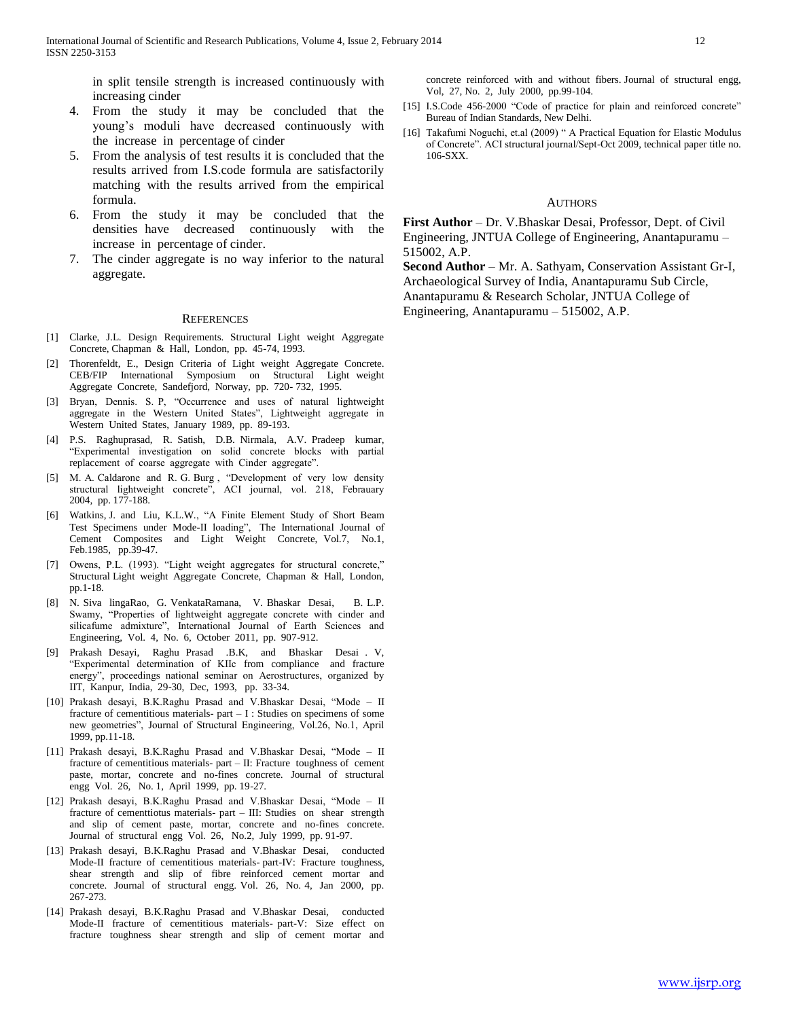in split tensile strength is increased continuously with increasing cinder

- 4. From the study it may be concluded that the young's moduli have decreased continuously with the increase in percentage of cinder
- 5. From the analysis of test results it is concluded that the results arrived from I.S.code formula are satisfactorily matching with the results arrived from the empirical formula.
- 6. From the study it may be concluded that the densities have decreased continuously with the increase in percentage of cinder.
- 7. The cinder aggregate is no way inferior to the natural aggregate.

#### **REFERENCES**

- [1] Clarke, J.L. Design Requirements. Structural Light weight Aggregate Concrete, Chapman & Hall, London, pp. 45-74, 1993.
- [2] Thorenfeldt, E., Design Criteria of Light weight Aggregate Concrete. CEB/FIP International Symposium on Structural Light weight Aggregate Concrete, Sandefjord, Norway, pp. 720- 732, 1995.
- [3] Bryan, Dennis. S. P, "Occurrence and uses of natural lightweight aggregate in the Western United States", Lightweight aggregate in Western United States, January 1989, pp. 89-193.
- [4] P.S. Raghuprasad, R. Satish, D.B. Nirmala, A.V. Pradeep kumar, "Experimental investigation on solid concrete blocks with partial replacement of coarse aggregate with Cinder aggregate".
- [5] M. A. Caldarone and R. G. Burg , "Development of very low density structural lightweight concrete", ACI journal, vol. 218, Febrauary 2004, pp. 177-188.
- [6] Watkins, J. and Liu, K.L.W., "A Finite Element Study of Short Beam Test Specimens under Mode-II loading", The International Journal of Cement Composites and Light Weight Concrete, Vol.7, No.1, Feb.1985, pp.39-47.
- [7] Owens, P.L. (1993). "Light weight aggregates for structural concrete," Structural Light weight Aggregate Concrete, Chapman & Hall, London, pp.1-18.
- [8] N. Siva lingaRao, G. VenkataRamana, V. Bhaskar Desai, B. L.P. Swamy, "Properties of lightweight aggregate concrete with cinder and silicafume admixture", International Journal of Earth Sciences and Engineering, Vol. 4, No. 6, October 2011, pp. 907-912.
- [9] Prakash Desayi, Raghu Prasad .B.K, and Bhaskar Desai . V, "Experimental determination of KIIc from compliance and fracture energy", proceedings national seminar on Aerostructures, organized by IIT, Kanpur, India, 29-30, Dec, 1993, pp. 33-34.
- [10] Prakash desayi, B.K.Raghu Prasad and V.Bhaskar Desai, "Mode II fracture of cementitious materials-  $part - I$ : Studies on specimens of some new geometries", Journal of Structural Engineering, Vol.26, No.1, April 1999, pp.11-18.
- [11] Prakash desayi, B.K.Raghu Prasad and V.Bhaskar Desai, "Mode II fracture of cementitious materials- part – II: Fracture toughness of cement paste, mortar, concrete and no-fines concrete. Journal of structural engg Vol. 26, No. 1, April 1999, pp. 19-27.
- [12] Prakash desayi, B.K.Raghu Prasad and V.Bhaskar Desai, "Mode II fracture of cementtiotus materials- part – III: Studies on shear strength and slip of cement paste, mortar, concrete and no-fines concrete. Journal of structural engg Vol. 26, No.2, July 1999, pp. 91-97.
- [13] Prakash desayi, B.K.Raghu Prasad and V.Bhaskar Desai, conducted Mode-II fracture of cementitious materials- part-IV: Fracture toughness, shear strength and slip of fibre reinforced cement mortar and concrete. Journal of structural engg. Vol. 26, No. 4, Jan 2000, pp. 267-273.
- [14] Prakash desayi, B.K.Raghu Prasad and V.Bhaskar Desai, conducted Mode-II fracture of cementitious materials- part-V: Size effect on fracture toughness shear strength and slip of cement mortar and

concrete reinforced with and without fibers. Journal of structural engg, Vol, 27, No. 2, July 2000, pp.99-104.

- [15] I.S.Code 456-2000 "Code of practice for plain and reinforced concrete" Bureau of Indian Standards, New Delhi.
- [16] Takafumi Noguchi, et.al (2009) " A Practical Equation for Elastic Modulus of Concrete". ACI structural journal/Sept-Oct 2009, technical paper title no. 106-SXX.

#### AUTHORS

**First Author** – Dr. V.Bhaskar Desai, Professor, Dept. of Civil Engineering, JNTUA College of Engineering, Anantapuramu – 515002, A.P.

**Second Author** – Mr. A. Sathyam, Conservation Assistant Gr-I, Archaeological Survey of India, Anantapuramu Sub Circle, Anantapuramu & Research Scholar, JNTUA College of Engineering, Anantapuramu – 515002, A.P.